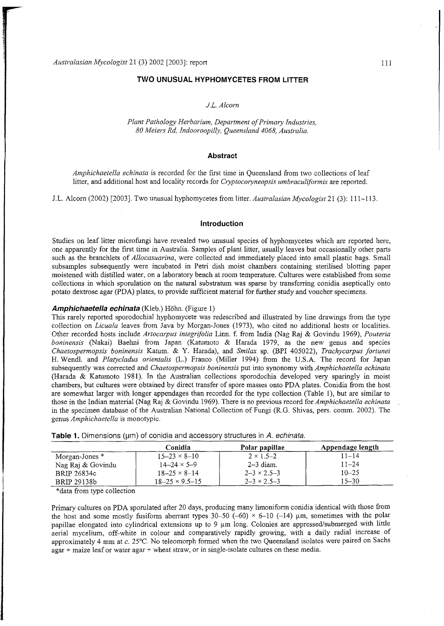### **TWO UNUSUAL HYPHOMYCETES FROM LITTER**

# *J.L. Alcorn*

*Plant Pathology Herbarium, Department of Primary Industries, 80 Meiers Rd, Indooroopilly, Queensland 4068, Australia.* 

## **Abstract**

*Amphichaetella echinata* is recorded for the first time in Queensland from two collections of leaf litter, and additional host and locality records for *Cryptocoryneopsis umbraculiformis* are reported.

J.L. Alcorn (2002) [2003]. Two unusual hyphomycetes from litter. *Australasian Mycologist* 21 (3): 111-113.

#### **Introduction**

Studies on leaf litter microfungi have revealed two unusual species of hyphomycetes which are reported here, one apparently for the first time in Australia. Samples of plant litter, usually leaves but occasionally other parts such as the branchlets of *Allocasuarina*, were collected and immediately placed into small plastic bags. Small subsamples subsequently were incubated in Petri dish moist chambers containing sterilised blotting paper moistened with distilled water, on a laboratory bench at room temperature. Cultures were established from some collections in which sporulation on the natural substratum was sparse by transferring conidia aseptically onto potato dextrose agar (PDA) plates, to provide sufficient material for further study and voucher specimens.

## Amphichaetella echinata (Kleb.) Höhn. (Figure 1)

This rarely reported sporodochial hyphomycete was redescribed and illustrated by line drawings from the type collection on *Licuala* leaves from Java by Morgan-Jones (1973), who cited no additional hosts or localities. Othe r recorded hosts include *Artocarpus integrifolia* Linn. f. from India (Nag Raj & Govindu 1969), *Pouteria boninensis* (Nakai) Baehni from Japan (Katumoto & Harada 1979, as the new genus and species *Chaetospermopsis boninensis* Katum. & Y. Harada), and *Smilax* sp. (BPI 405022), *Trachycarpus fortunei*  H. Wendl. and *Platycladus orientalis* (L.) Franco (Miller 1994) from the U.S.A. The record for Japan subsequently wa s corrected and *Chaetospermopsis boninensis* put into synonomy with *Amphichaetella echinata*  (Harada & Katumoto 1981). In the Australian collections sporodochia developed very sparingly in moist chambers, but cultures were obtained by direct transfer of spore masses onto PDA plates. Conidia from the host are somewhat larger with longer appendages than recorded for the type collection (Table 1), but are similar to those in the Indian material (Nag Raj & Govindu 1969). There is no previous record *tor Amphichaetella echinata*  in the specimen database of the Australian National Collection of Fungi (R.G. Shivas, pers. comm. 2002). The genus *Amphichaetella* is monotypic .

|                   | Conidia                   | Polar papillae         | Appendage length |
|-------------------|---------------------------|------------------------|------------------|
| Morgan-Jones *    | $15 - 23 \times 8 - 10$   | $2 \times 1.5 - 2$     | $11 - 14$        |
| Nag Raj & Govindu | $14 - 24 \times 5 - 9$    | $2-3$ diam.            | $11 - 24$        |
| BRIP 26834c       | $18 - 25 \times 8 - 14$   | $2 - 3 \times 2.5 - 3$ | $10 - 25$        |
| BRIP 29138b       | $18 - 25 \times 9.5 - 15$ | $2 - 3 \times 2.5 - 3$ | 15–30            |

**Table 1.** Dimensions (µm) of conidia and accessory structures in A. echinata.

\*data from type collection

Primary cultures on PDA sporulated after 20 days, producing many limoniform conidia identical with those from the host and some mostly fusiform aberrant types  $30-50$  (-60) × 6-10 (-14) µm, sometimes with the polar papillae elongated into cylindrical extensions up to 9 um long. Colonies are appressed/submerged with little aerial mycelium, off-white in colour and comparatively rapidly growing, with a daily radial increase of approximately 4 mm at c. 25°C. No teleomorph formed when the two Queensland isolates were paired on Sachs  $a\bar{a}$ gar + maize leaf or water  $a\bar{a}$ r + wheat straw, or in single-isolate cultures on these media.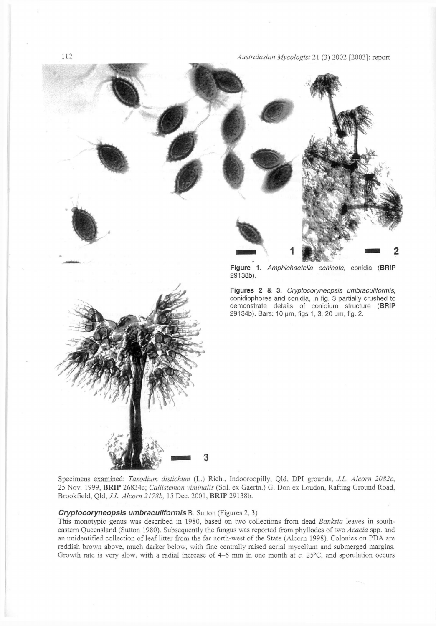Australasian Mycologist 21 (3) 2002 [2003]: report



Specimens examined: *Toxodium distichum* (L.) Rich.. Indooroopilly, Qld, DPI grounds, *J.L. Alcorn 2082c.*  25 Nov. 1999, BRIP 26834c; Callistemon viminalis (Sol. ex Gaertn.) G. Don ex Loudon, Rafting Ground Road, Brookfield, *Qld, J.L. Alcorn 2178b,* 15 Dec . 2001 , **BRIP** 29138b.

# *Cryptocoryneopsis umbraculiformis B.* Sutton (Figures 2, 3)

This monotypic genus was described in 1980, based on two collections from dead Banksia leaves in southeastern Queensland (Sutton 1980). Subsequently the fungus was reported from phyllodes of two *Acacia* spp. and an unidentified collection of leaf litter from the far north-west of the State (Alcorn 1998). Colonies on PDA are reddish brown above, much darker below, with fine centrally raised aerial mycelium and submerged margins. Growth rate is very slow, with a radial increase of 4-6 mm in one month at c. 25°C, and sporulation occurs